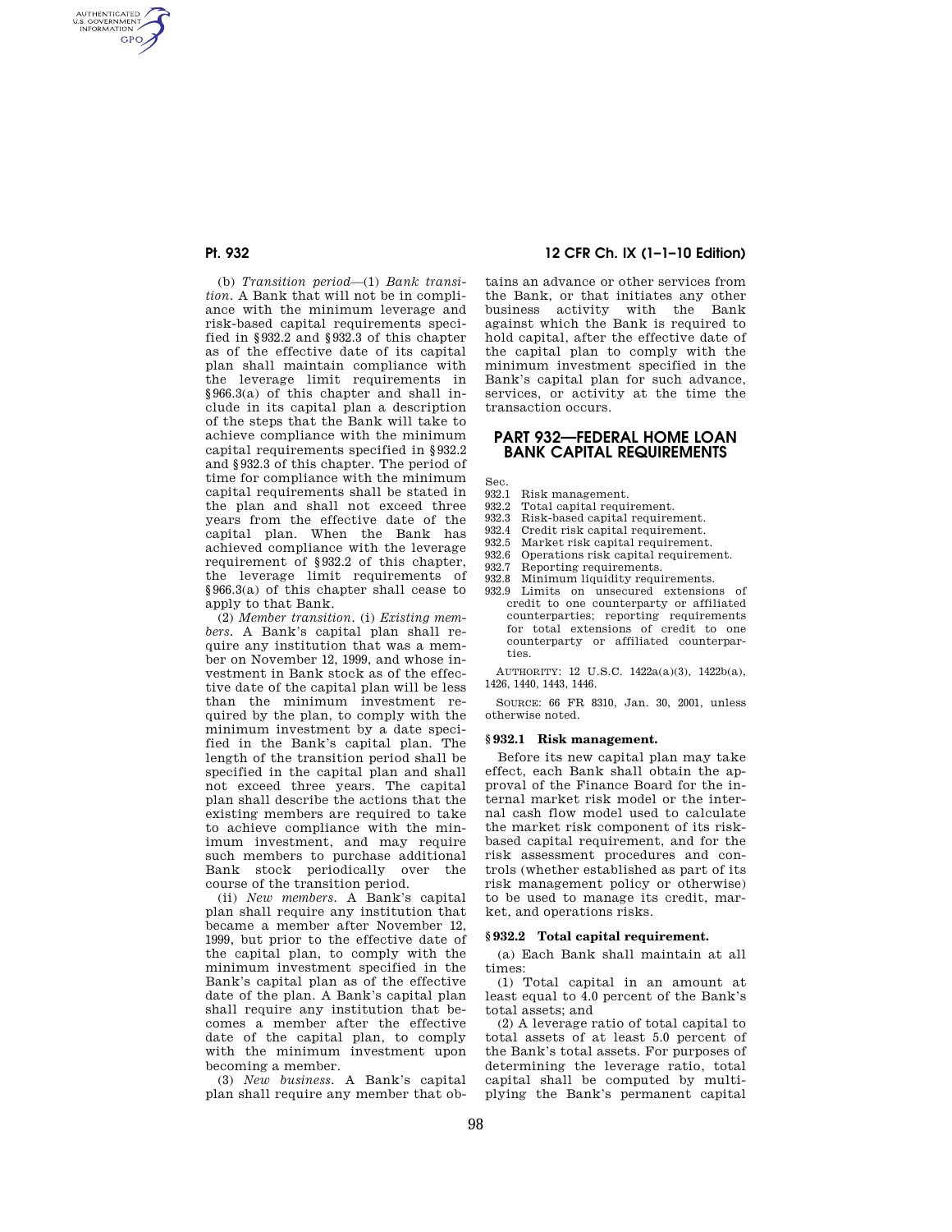AUTHENTICATED<br>U.S. GOVERNMENT<br>INFORMATION **GPO** 

> (b) *Transition period*—(1) *Bank transition.* A Bank that will not be in compliance with the minimum leverage and risk-based capital requirements specified in §932.2 and §932.3 of this chapter as of the effective date of its capital plan shall maintain compliance with the leverage limit requirements in §966.3(a) of this chapter and shall include in its capital plan a description of the steps that the Bank will take to achieve compliance with the minimum capital requirements specified in §932.2 and §932.3 of this chapter. The period of time for compliance with the minimum capital requirements shall be stated in the plan and shall not exceed three years from the effective date of the capital plan. When the Bank has achieved compliance with the leverage requirement of §932.2 of this chapter, the leverage limit requirements of §966.3(a) of this chapter shall cease to apply to that Bank.

> (2) *Member transition.* (i) *Existing members.* A Bank's capital plan shall require any institution that was a member on November 12, 1999, and whose investment in Bank stock as of the effective date of the capital plan will be less than the minimum investment required by the plan, to comply with the minimum investment by a date specified in the Bank's capital plan. The length of the transition period shall be specified in the capital plan and shall not exceed three years. The capital plan shall describe the actions that the existing members are required to take to achieve compliance with the minimum investment, and may require such members to purchase additional Bank stock periodically over the course of the transition period.

> (ii) *New members.* A Bank's capital plan shall require any institution that became a member after November 12, 1999, but prior to the effective date of the capital plan, to comply with the minimum investment specified in the Bank's capital plan as of the effective date of the plan. A Bank's capital plan shall require any institution that becomes a member after the effective date of the capital plan, to comply with the minimum investment upon becoming a member.

(3) *New business.* A Bank's capital plan shall require any member that ob-

# **Pt. 932 12 CFR Ch. IX (1–1–10 Edition)**

tains an advance or other services from the Bank, or that initiates any other business activity with the Bank against which the Bank is required to hold capital, after the effective date of the capital plan to comply with the minimum investment specified in the Bank's capital plan for such advance, services, or activity at the time the transaction occurs.

## **PART 932—FEDERAL HOME LOAN BANK CAPITAL REQUIREMENTS**

Sec.<br>932.1

- 932.1 Risk management.<br>932.2 Total capital requi
- Total capital requirement.
- 932.3 Risk-based capital requirement.<br>932.4 Credit risk capital requirement. Credit risk capital requirement.
- 
- 932.5 Market risk capital requirement.<br>932.6 Operations risk capital requirement
- 932.6 Operations risk capital requirement.<br>932.7 Reporting requirements. Reporting requirements.
- 932.8 Minimum liquidity requirements.
- 932.9 Limits on unsecured extensions of credit to one counterparty or affiliated counterparties; reporting requirements for total extensions of credit to one counterparty or affiliated counterparties.

AUTHORITY: 12 U.S.C. 1422a(a)(3), 1422b(a), 1426, 1440, 1443, 1446.

SOURCE: 66 FR 8310, Jan. 30, 2001, unless otherwise noted.

#### **§ 932.1 Risk management.**

Before its new capital plan may take effect, each Bank shall obtain the approval of the Finance Board for the internal market risk model or the internal cash flow model used to calculate the market risk component of its riskbased capital requirement, and for the risk assessment procedures and controls (whether established as part of its risk management policy or otherwise) to be used to manage its credit, market, and operations risks.

#### **§ 932.2 Total capital requirement.**

(a) Each Bank shall maintain at all times:

(1) Total capital in an amount at least equal to 4.0 percent of the Bank's total assets; and

(2) A leverage ratio of total capital to total assets of at least 5.0 percent of the Bank's total assets. For purposes of determining the leverage ratio, total capital shall be computed by multiplying the Bank's permanent capital